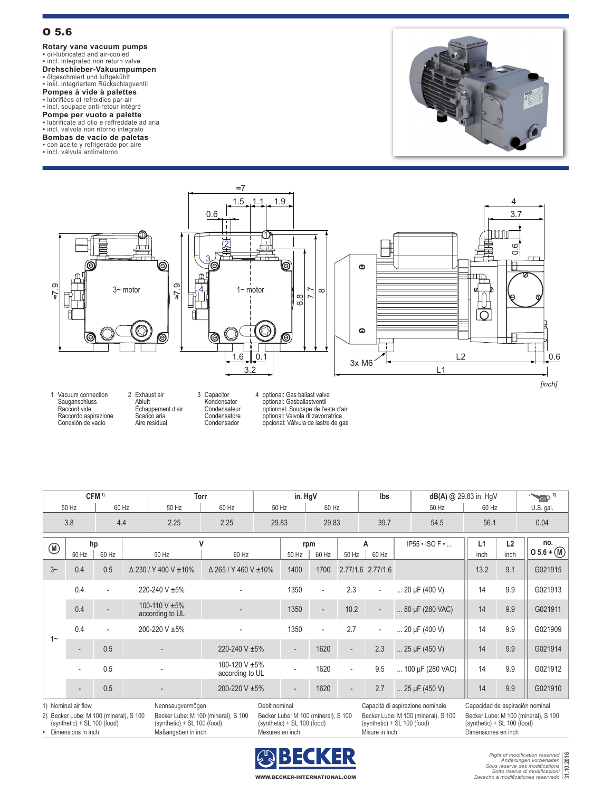## O 5.6

**Rotary vane vacuum pumps**<br>• oil-lubricated and air-cooled<br>• incl. integrated non return valve

**Drehschieber-Vakuumpumpen**

▪ ölgeschmiert und luftgekühlt ▪ inkl. integriertem Rückschlagventil

**Pompes à vide à palettes**<br>▪ lubrifiées et refroidies par air<br>▪ incl. soupape anti-retour intégré

**Pompe per vuoto a palette**<br>▪ lubrificate ad olio e raffreddate ad aria<br>▪ incl. valvola non ritorno integrato

## **Bombas de vacío de paletas**

▪ con aceite y refrigerado por aire

▪ incl. válvula antirretorno





1 Vacuum connection Sauganschluss Raccord vide Raccordo aspirazione Conexión de vacío 2 Exhaust air Abluft Échappement d'air Scarico aria Aire residual

3 Capacitor Kondensator Condensateur Condensatore Condensador

4 optional: Gas ballast valve optional: Gasballastventil optionnel: Soupape de l'este d'air optional: Valvola di zavorratrice opcional: Válvula de lastre de gas

| CFM <sup>1)</sup>                                                                                                                                                                                                                                                                          |             |       |                                  | <b>Torr</b>          |                                  | in. HgV                  |                          |                          | lbs                                |                          | $dB(A)$ @ 29.83 in. HgV |                               |            | $\sim$ oil $P^{2}$ |                     |
|--------------------------------------------------------------------------------------------------------------------------------------------------------------------------------------------------------------------------------------------------------------------------------------------|-------------|-------|----------------------------------|----------------------|----------------------------------|--------------------------|--------------------------|--------------------------|------------------------------------|--------------------------|-------------------------|-------------------------------|------------|--------------------|---------------------|
| 50 Hz                                                                                                                                                                                                                                                                                      |             | 60 Hz |                                  | 50 Hz                | 60 Hz<br>50 Hz                   |                          | 60 Hz                    |                          |                                    |                          |                         | 50 Hz                         | 60 Hz      |                    | U.S. gal.           |
| 3.8                                                                                                                                                                                                                                                                                        |             | 4.4   |                                  | 2.25                 | 2.25                             | 29.83                    |                          | 29.83                    |                                    | 39.7                     |                         | 54.5                          | 56.1       |                    | 0.04                |
| $^{\circledR}$                                                                                                                                                                                                                                                                             | hp<br>50 Hz | 60 Hz |                                  | v<br>50 Hz           | 60 Hz                            |                          | 50 Hz                    | rpm<br>60 Hz             | 50 Hz                              | А<br>60 Hz               |                         | $IP55 \cdot ISO F \cdot $     | L1<br>inch | L2<br>inch         | no.<br>$05.6 + (M)$ |
| $3-$                                                                                                                                                                                                                                                                                       | 0.4         | 0.5   |                                  | Δ 230 / Y 400 V ±10% | $\Delta$ 265 / Y 460 V ±10%      |                          | 1400                     | 1700                     |                                    | 2.77/1.6 2.77/1.6        |                         |                               | 13.2       | 9.1                | G021915             |
| $1$ ~                                                                                                                                                                                                                                                                                      | 0.4         |       | 220-240 V ±5%                    |                      |                                  |                          | 1350                     | $\overline{\phantom{0}}$ | 2.3                                | $\overline{\phantom{a}}$ | $ 20 \mu F (400 V)$     |                               | 14         | 9.9                | G021913             |
|                                                                                                                                                                                                                                                                                            | 0.4         |       | 100-110 V ±5%<br>according to UL |                      |                                  |                          | 1350                     | $\overline{\phantom{a}}$ | 10.2                               | $\overline{\phantom{0}}$ |                         | $ 80 \mu F (280 \text{ VAC})$ | 14         | 9.9                | G021911             |
|                                                                                                                                                                                                                                                                                            | 0.4         |       | 200-220 V ±5%                    |                      |                                  |                          | 1350                     | $\overline{a}$           | 2.7                                | $\overline{\phantom{a}}$ |                         | $\ldots$ 20 µF (400 V)        | 14         | 9.9                | G021909             |
|                                                                                                                                                                                                                                                                                            |             | 0.5   |                                  |                      | 220-240 V ±5%                    |                          | $\overline{\phantom{0}}$ | 1620                     |                                    | 2.3                      |                         | $$ 25 µF (450 V)              | 14         | 9.9                | G021914             |
|                                                                                                                                                                                                                                                                                            |             | 0.5   |                                  |                      | 100-120 V ±5%<br>according to UL |                          |                          | 1620                     | $\overline{\phantom{a}}$           | 9.5                      |                         | 100 µF (280 VAC)              | 14         | 9.9                | G021912             |
|                                                                                                                                                                                                                                                                                            |             | 0.5   |                                  | 200-220 V ±5%        |                                  | $\overline{\phantom{0}}$ | 1620                     |                          | 2.7                                |                          | $$ 25 µF (450 V)        | 14                            | 9.9        | G021910            |                     |
| 1) Nominal air flow<br>Débit nominal<br>Capacità di aspirazione nominale<br>Capacidad de aspiración nominal<br>Nennsaugvermögen<br>2) Becker Lube: M 100 (mineral) S 100<br>Becker Lube: M 100 (mineral) S 100<br>Becker Lube: M 100 (mineral) S 100<br>Becker Lube: M 100 (mineral) S 100 |             |       |                                  |                      |                                  |                          |                          |                          | Becker Lube: M 100 (mineral) S 100 |                          |                         |                               |            |                    |                     |

2) Becker Lube: M 100 (mineral), S 100 (synthetic) + SL 100 (food) • Dimensions in inch Maßangaben in inch Mesures en inch Misure in inch Misure in inch Dimensiones en inch

Becker Lube: M 100 (mineral), S 100 (synthetic) + SL 100 (food)

Becker Lube: M 100 (mineral), S 100 (synthetic) + SL 100 (food)

Becker Lube: M 100 (mineral), S 100 (synthetic) + SL 100 (food)

Becker Lube: M 100 (mineral), S 100 (synthetic) + SL 100 (food)



*Right of modification reserved Änderungen vorbehalten Sous réserve des modifications Sotto riserva di modificazioni Derecho a modificationes reservado* **31.10.2016**